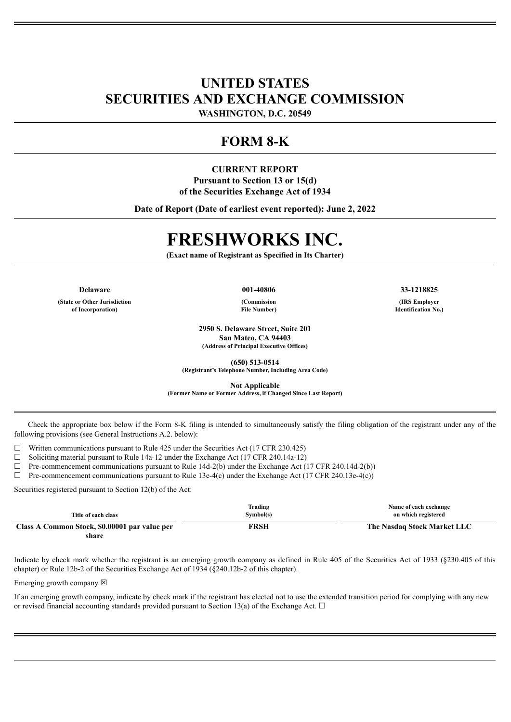## **UNITED STATES SECURITIES AND EXCHANGE COMMISSION**

**WASHINGTON, D.C. 20549**

## **FORM 8-K**

## **CURRENT REPORT Pursuant to Section 13 or 15(d) of the Securities Exchange Act of 1934**

**Date of Report (Date of earliest event reported): June 2, 2022**

# **FRESHWORKS INC.**

**(Exact name of Registrant as Specified in Its Charter)**

**(State or Other Jurisdiction of Incorporation)**

**(Commission File Number)**

**2950 S. Delaware Street, Suite 201 San Mateo, CA 94403 (Address of Principal Executive Offices)**

**(650) 513-0514**

**(Registrant's Telephone Number, Including Area Code)**

**Not Applicable**

**(Former Name or Former Address, if Changed Since Last Report)**

Check the appropriate box below if the Form 8-K filing is intended to simultaneously satisfy the filing obligation of the registrant under any of the following provisions (see General Instructions A.2. below):

 $\Box$  Written communications pursuant to Rule 425 under the Securities Act (17 CFR 230.425)

 $\Box$  Soliciting material pursuant to Rule 14a-12 under the Exchange Act (17 CFR 240.14a-12)

 $\Box$  Pre-commencement communications pursuant to Rule 14d-2(b) under the Exchange Act (17 CFR 240.14d-2(b))

 $\Box$  Pre-commencement communications pursuant to Rule 13e-4(c) under the Exchange Act (17 CFR 240.13e-4(c))

Securities registered pursuant to Section 12(b) of the Act:

| Title of each class                           | Trading<br>Symbol(s) | Name of each exchange<br>on which registered |
|-----------------------------------------------|----------------------|----------------------------------------------|
| Class A Common Stock, \$0.00001 par value per | FRSH                 | The Nasdaq Stock Market LLC                  |
| share                                         |                      |                                              |

Indicate by check mark whether the registrant is an emerging growth company as defined in Rule 405 of the Securities Act of 1933 (§230.405 of this chapter) or Rule 12b-2 of the Securities Exchange Act of 1934 (§240.12b-2 of this chapter).

Emerging growth company  $\boxtimes$ 

If an emerging growth company, indicate by check mark if the registrant has elected not to use the extended transition period for complying with any new or revised financial accounting standards provided pursuant to Section 13(a) of the Exchange Act.  $\Box$ 

**Delaware 001-40806 33-1218825**

**(IRS Employer Identification No.)**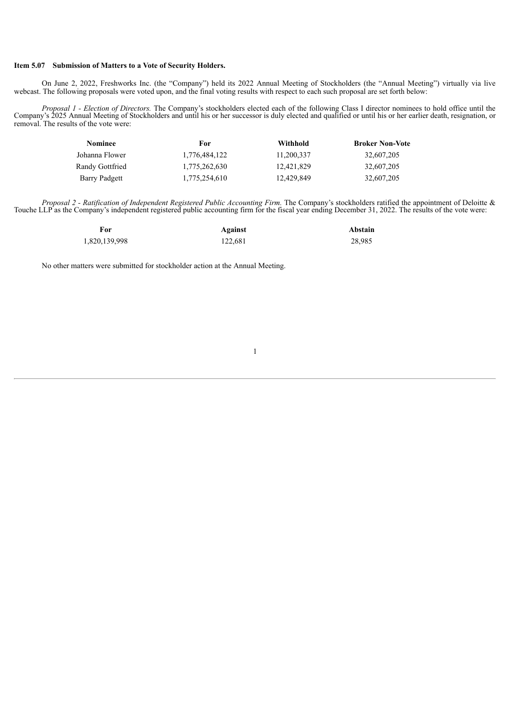### **Item 5.07 Submission of Matters to a Vote of Security Holders.**

On June 2, 2022, Freshworks Inc. (the "Company") held its 2022 Annual Meeting of Stockholders (the "Annual Meeting") virtually via live webcast. The following proposals were voted upon, and the final voting results with respect to each such proposal are set forth below:

*Proposal 1 - Election of Directors.* The Company's stockholders elected each of the following Class I director nominees to hold office until the Company's 2025 Annual Meeting of Stockholders and until his or her successor is duly elected and qualified or until his or her earlier death, resignation, or removal. The results of the vote were:

| <b>Nominee</b>  | For           | Withhold   | <b>Broker Non-Vote</b> |
|-----------------|---------------|------------|------------------------|
| Johanna Flower  | 1,776,484,122 | 11,200,337 | 32,607,205             |
| Randy Gottfried | 1,775,262,630 | 12,421,829 | 32,607,205             |
| Barry Padgett   | 1.775.254.610 | 12,429,849 | 32,607,205             |

*Proposal 2 - Ratification of Independent Registered Public Accounting Firm.* The Company's stockholders ratified the appointment of Deloitte & Touche LLP as the Company's independent registered public accounting firm for the fiscal year ending December 31, 2022. The results of the vote were:

| For           | Against | Abstain |
|---------------|---------|---------|
| 1,820,139,998 | 122,681 | 28,985  |

No other matters were submitted for stockholder action at the Annual Meeting.